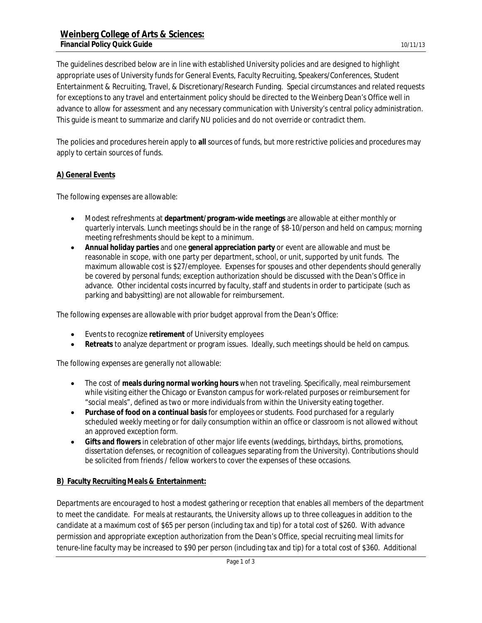The guidelines described below are in line with established University policies and are designed to highlight appropriate uses of University funds for General Events, Faculty Recruiting, Speakers/Conferences, Student Entertainment & Recruiting, Travel, & Discretionary/Research Funding. Special circumstances and related requests for exceptions to any travel and entertainment policy should be directed to the Weinberg Dean's Office well in advance to allow for assessment and any necessary communication with University's central policy administration. This guide is meant to summarize and clarify NU policies and do not override or contradict them.

The policies and procedures herein apply to **all** sources of funds, but more restrictive policies and procedures may apply to certain sources of funds.

## **A) General Events**

*The following expenses are allowable:*

- Modest refreshments at **department/program-wide meetings** are allowable at either monthly or quarterly intervals. Lunch meetings should be in the range of \$8-10/person and held on campus; morning meeting refreshments should be kept to a minimum.
- **Annual holiday parties** and one **general appreciation party** or event are allowable and must be reasonable in scope, with one party per department, school, or unit, supported by unit funds. The maximum allowable cost is \$27/employee. Expenses for spouses and other dependents should generally be covered by personal funds; exception authorization should be discussed with the Dean's Office in advance. Other incidental costs incurred by faculty, staff and students in order to participate (such as parking and babysitting) are not allowable for reimbursement.

*The following expenses are allowable with prior budget approval from the Dean's Office:*

- Events to recognize **retirement** of University employees
- **Retreats** to analyze department or program issues. Ideally, such meetings should be held on campus.

*The following expenses are generally not allowable:*

- The cost of **meals during normal working hours** when not traveling. Specifically, meal reimbursement while visiting either the Chicago or Evanston campus for work-related purposes or reimbursement for "social meals", defined as two or more individuals from within the University eating together.
- **Purchase of food on a continual basis** for employees or students. Food purchased for a regularly scheduled weekly meeting or for daily consumption within an office or classroom is not allowed without an approved exception form.
- **Gifts and flowers** in celebration of other major life events (weddings, birthdays, births, promotions, dissertation defenses, or recognition of colleagues separating from the University). Contributions should be solicited from friends / fellow workers to cover the expenses of these occasions.

## **B) Faculty Recruiting Meals & Entertainment:**

Departments are encouraged to host a modest gathering or reception that enables all members of the department to meet the candidate. For meals at restaurants, the University allows up to three colleagues in addition to the candidate at a maximum cost of \$65 per person (including tax and tip) for a total cost of \$260. With advance permission and appropriate exception authorization from the Dean's Office, special recruiting meal limits for tenure-line faculty may be increased to \$90 per person (including tax and tip) for a total cost of \$360. Additional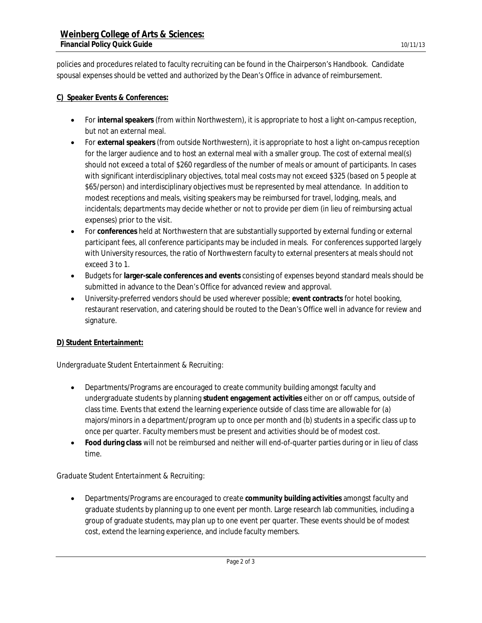policies and procedures related to faculty recruiting can be found in the Chairperson's Handbook. Candidate spousal expenses should be vetted and authorized by the Dean's Office in advance of reimbursement.

## **C) Speaker Events & Conferences:**

- For **internal speakers** (from within Northwestern), it is appropriate to host a light on-campus reception, but not an external meal.
- For **external speakers** (from outside Northwestern), it is appropriate to host a light on-campus reception for the larger audience and to host an external meal with a smaller group. The cost of external meal(s) should not exceed a total of \$260 regardless of the number of meals or amount of participants. In cases with significant interdisciplinary objectives, total meal costs may not exceed \$325 (based on 5 people at \$65/person) and interdisciplinary objectives must be represented by meal attendance. In addition to modest receptions and meals, visiting speakers may be reimbursed for travel, lodging, meals, and incidentals; departments may decide whether or not to provide per diem (in lieu of reimbursing actual expenses) prior to the visit.
- For **conferences** held at Northwestern that are substantially supported by external funding or external participant fees, all conference participants may be included in meals. For conferences supported largely with University resources, the ratio of Northwestern faculty to external presenters at meals should not exceed 3 to 1.
- Budgets for **larger-scale conferences and events** consisting of expenses beyond standard meals should be submitted in advance to the Dean's Office for advanced review and approval.
- University-preferred vendors should be used wherever possible; **event contracts** for hotel booking, restaurant reservation, and catering should be routed to the Dean's Office well in advance for review and signature.

## **D) Student Entertainment:**

#### *Undergraduate Student Entertainment & Recruiting:*

- Departments/Programs are encouraged to create community building amongst faculty and undergraduate students by planning **student engagement activities** either on or off campus, outside of class time. Events that extend the learning experience outside of class time are allowable for (a) majors/minors in a department/program up to once per month and (b) students in a specific class up to once per quarter. Faculty members must be present and activities should be of modest cost.
- **Food during class** will not be reimbursed and neither will end-of-quarter parties during or in lieu of class time.

## *Graduate Student Entertainment & Recruiting:*

 Departments/Programs are encouraged to create **community building activities** amongst faculty and graduate students by planning up to one event per month. Large research lab communities, including a group of graduate students, may plan up to one event per quarter. These events should be of modest cost, extend the learning experience, and include faculty members.